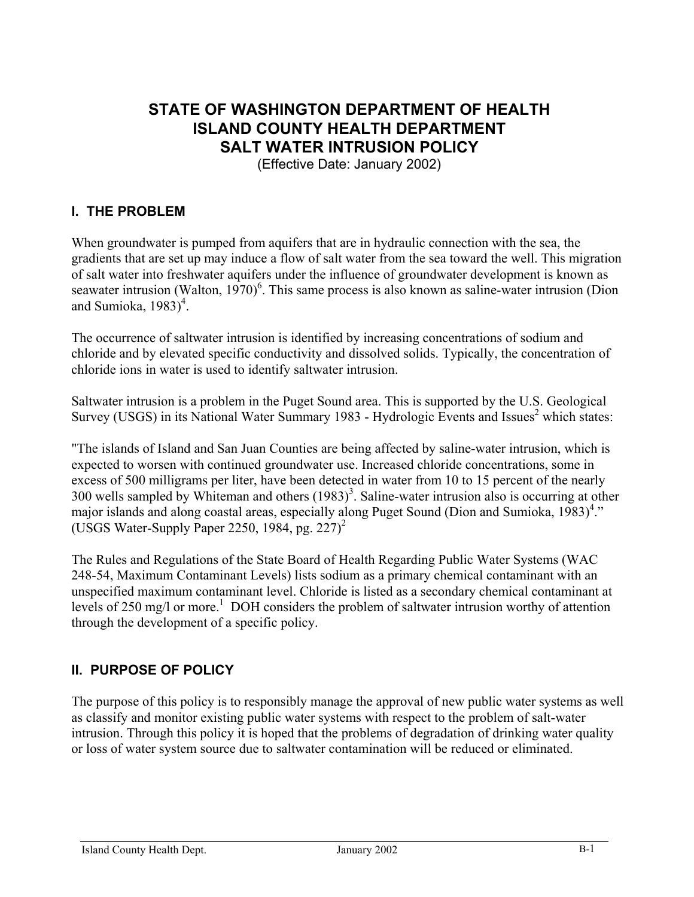# **STATE OF WASHINGTON DEPARTMENT OF HEALTH ISLAND COUNTY HEALTH DEPARTMENT SALT WATER INTRUSION POLICY**

(Effective Date: January 2002)

## **I. THE PROBLEM**

When groundwater is pumped from aquifers that are in hydraulic connection with the sea, the gradients that are set up may induce a flow of salt water from the sea toward the well. This migration of salt water into freshwater aquifers under the influence of groundwater development is known as seawater intrusion (Walton,  $1970$ <sup>6</sup>. This same process is also known as saline-water intrusion (Dion and Sumioka,  $1983)^4$ .

The occurrence of saltwater intrusion is identified by increasing concentrations of sodium and chloride and by elevated specific conductivity and dissolved solids. Typically, the concentration of chloride ions in water is used to identify saltwater intrusion.

Saltwater intrusion is a problem in the Puget Sound area. This is supported by the U.S. Geological Survey (USGS) in its National Water Summary 1983 - Hydrologic Events and Issues<sup>2</sup> which states:

"The islands of Island and San Juan Counties are being affected by saline-water intrusion, which is expected to worsen with continued groundwater use. Increased chloride concentrations, some in excess of 500 milligrams per liter, have been detected in water from 10 to 15 percent of the nearly 300 wells sampled by Whiteman and others  $(1983)^3$ . Saline-water intrusion also is occurring at other major islands and along coastal areas, especially along Puget Sound (Dion and Sumioka,  $1983)^4$ ." (USGS Water-Supply Paper 2250, 1984, pg. 227)<sup>2</sup>

The Rules and Regulations of the State Board of Health Regarding Public Water Systems (WAC 248-54, Maximum Contaminant Levels) lists sodium as a primary chemical contaminant with an unspecified maximum contaminant level. Chloride is listed as a secondary chemical contaminant at levels of 250 mg/l or more.<sup>1</sup> DOH considers the problem of saltwater intrusion worthy of attention through the development of a specific policy.

## **II. PURPOSE OF POLICY**

The purpose of this policy is to responsibly manage the approval of new public water systems as well as classify and monitor existing public water systems with respect to the problem of salt-water intrusion. Through this policy it is hoped that the problems of degradation of drinking water quality or loss of water system source due to saltwater contamination will be reduced or eliminated.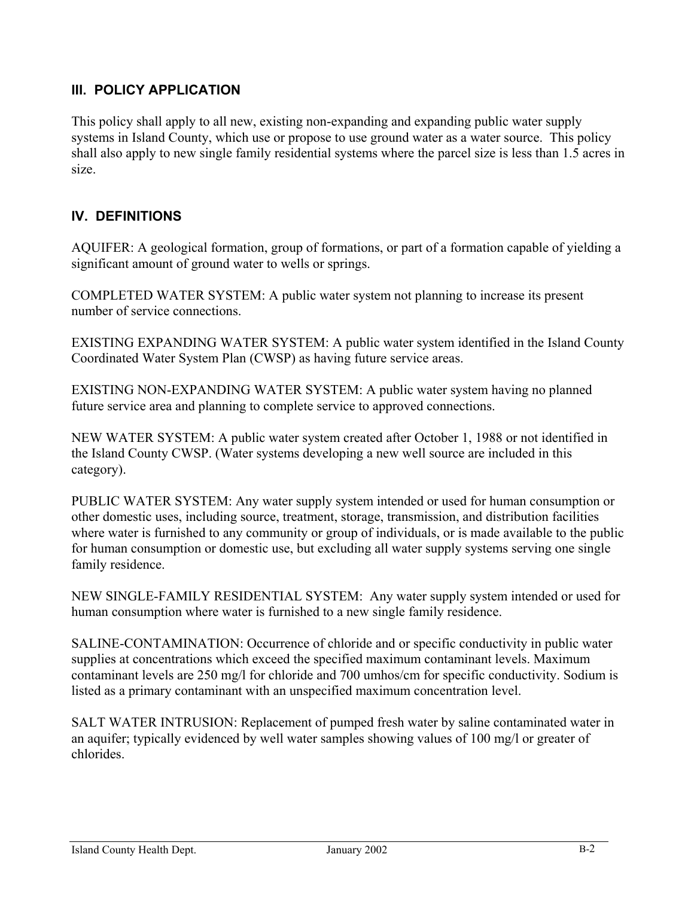# **III. POLICY APPLICATION**

This policy shall apply to all new, existing non-expanding and expanding public water supply systems in Island County, which use or propose to use ground water as a water source. This policy shall also apply to new single family residential systems where the parcel size is less than 1.5 acres in size.

# **IV. DEFINITIONS**

AQUIFER: A geological formation, group of formations, or part of a formation capable of yielding a significant amount of ground water to wells or springs.

COMPLETED WATER SYSTEM: A public water system not planning to increase its present number of service connections.

EXISTING EXPANDING WATER SYSTEM: A public water system identified in the Island County Coordinated Water System Plan (CWSP) as having future service areas.

EXISTING NON-EXPANDING WATER SYSTEM: A public water system having no planned future service area and planning to complete service to approved connections.

NEW WATER SYSTEM: A public water system created after October 1, 1988 or not identified in the Island County CWSP. (Water systems developing a new well source are included in this category).

PUBLIC WATER SYSTEM: Any water supply system intended or used for human consumption or other domestic uses, including source, treatment, storage, transmission, and distribution facilities where water is furnished to any community or group of individuals, or is made available to the public for human consumption or domestic use, but excluding all water supply systems serving one single family residence.

NEW SINGLE-FAMILY RESIDENTIAL SYSTEM: Any water supply system intended or used for human consumption where water is furnished to a new single family residence.

SALINE-CONTAMINATION: Occurrence of chloride and or specific conductivity in public water supplies at concentrations which exceed the specified maximum contaminant levels. Maximum contaminant levels are 250 mg/l for chloride and 700 umhos/cm for specific conductivity. Sodium is listed as a primary contaminant with an unspecified maximum concentration level.

SALT WATER INTRUSION: Replacement of pumped fresh water by saline contaminated water in an aquifer; typically evidenced by well water samples showing values of 100 mg/l or greater of chlorides.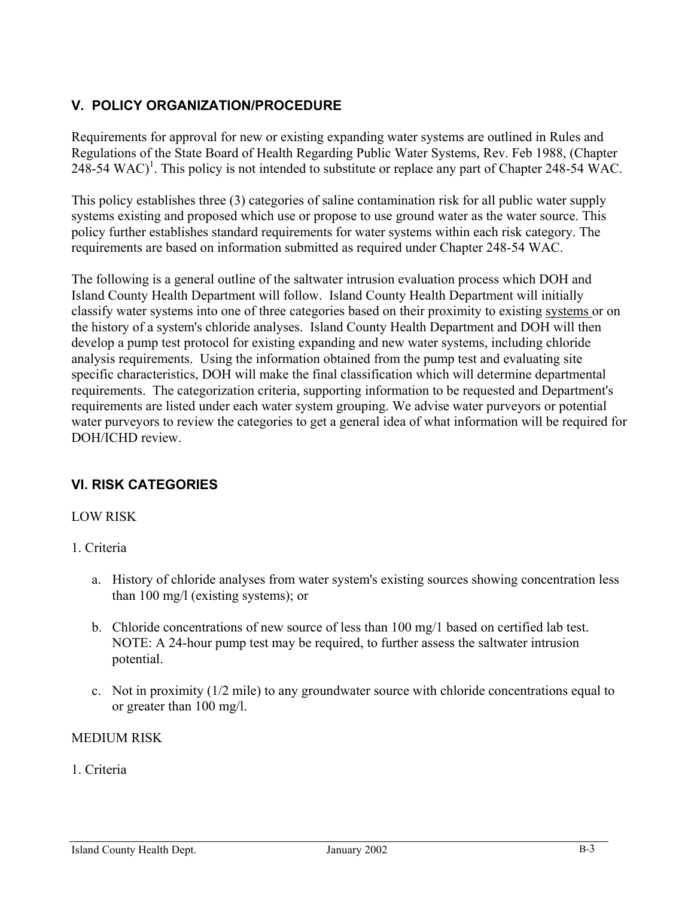# **V. POLICY ORGANIZATION/PROCEDURE**

Requirements for approval for new or existing expanding water systems are outlined in Rules and Regulations of the State Board of Health Regarding Public Water Systems, Rev. Feb 1988, (Chapter 248-54 WAC)<sup>1</sup>. This policy is not intended to substitute or replace any part of Chapter 248-54 WAC.

This policy establishes three (3) categories of saline contamination risk for all public water supply systems existing and proposed which use or propose to use ground water as the water source. This policy further establishes standard requirements for water systems within each risk category. The requirements are based on information submitted as required under Chapter 248-54 WAC.

The following is a general outline of the saltwater intrusion evaluation process which DOH and Island County Health Department will follow. Island County Health Department will initially classify water systems into one of three categories based on their proximity to existing systems or on the history of a system's chloride analyses. Island County Health Department and DOH will then develop a pump test protocol for existing expanding and new water systems, including chloride analysis requirements. Using the information obtained from the pump test and evaluating site specific characteristics, DOH will make the final classification which will determine departmental requirements. The categorization criteria, supporting information to be requested and Department's requirements are listed under each water system grouping. We advise water purveyors or potential water purveyors to review the categories to get a general idea of what information will be required for DOH/ICHD review.

## **VI. RISK CATEGORIES**

## LOW RISK

## 1. Criteria

- a. History of chloride analyses from water system's existing sources showing concentration less than 100 mg/l (existing systems); or
- b. Chloride concentrations of new source of less than 100 mg/1 based on certified lab test. NOTE: A 24-hour pump test may be required, to further assess the saltwater intrusion potential.
- c. Not in proximity (1/2 mile) to any groundwater source with chloride concentrations equal to or greater than 100 mg/l.

## MEDIUM RISK

## 1. Criteria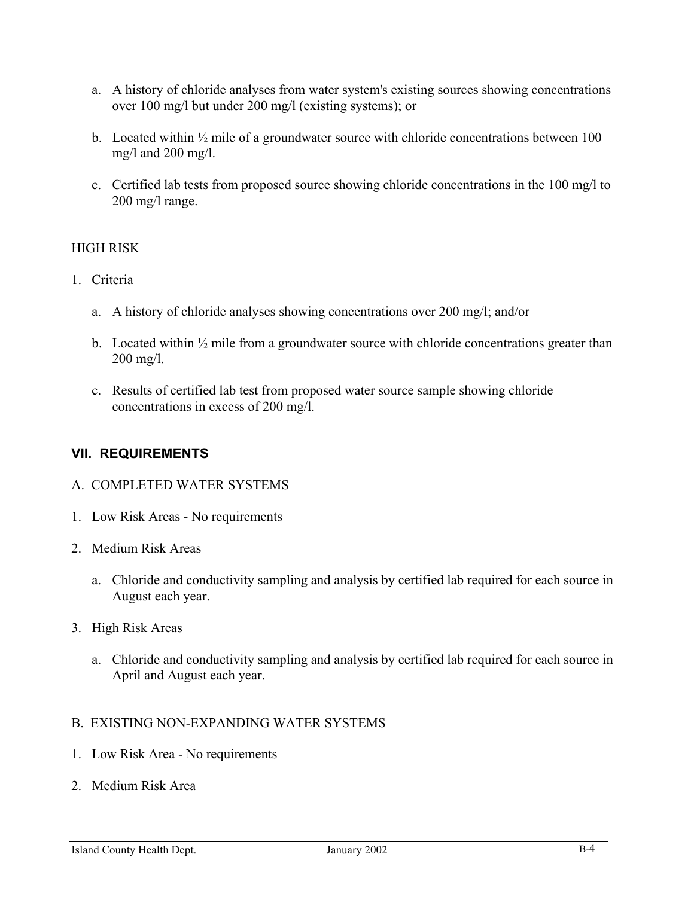- a. A history of chloride analyses from water system's existing sources showing concentrations over 100 mg/l but under 200 mg/l (existing systems); or
- b. Located within  $\frac{1}{2}$  mile of a groundwater source with chloride concentrations between 100 mg/l and 200 mg/l.
- c. Certified lab tests from proposed source showing chloride concentrations in the 100 mg/l to 200 mg/l range.

## HIGH RISK

- 1. Criteria
	- a. A history of chloride analyses showing concentrations over 200 mg/l; and/or
	- b. Located within  $\frac{1}{2}$  mile from a groundwater source with chloride concentrations greater than 200 mg/l.
	- c. Results of certified lab test from proposed water source sample showing chloride concentrations in excess of 200 mg/l.

## **VII. REQUIREMENTS**

#### A. COMPLETED WATER SYSTEMS

- 1. Low Risk Areas No requirements
- 2. Medium Risk Areas
	- a. Chloride and conductivity sampling and analysis by certified lab required for each source in August each year.
- 3. High Risk Areas
	- a. Chloride and conductivity sampling and analysis by certified lab required for each source in April and August each year.
- B. EXISTING NON-EXPANDING WATER SYSTEMS
- 1. Low Risk Area No requirements
- 2. Medium Risk Area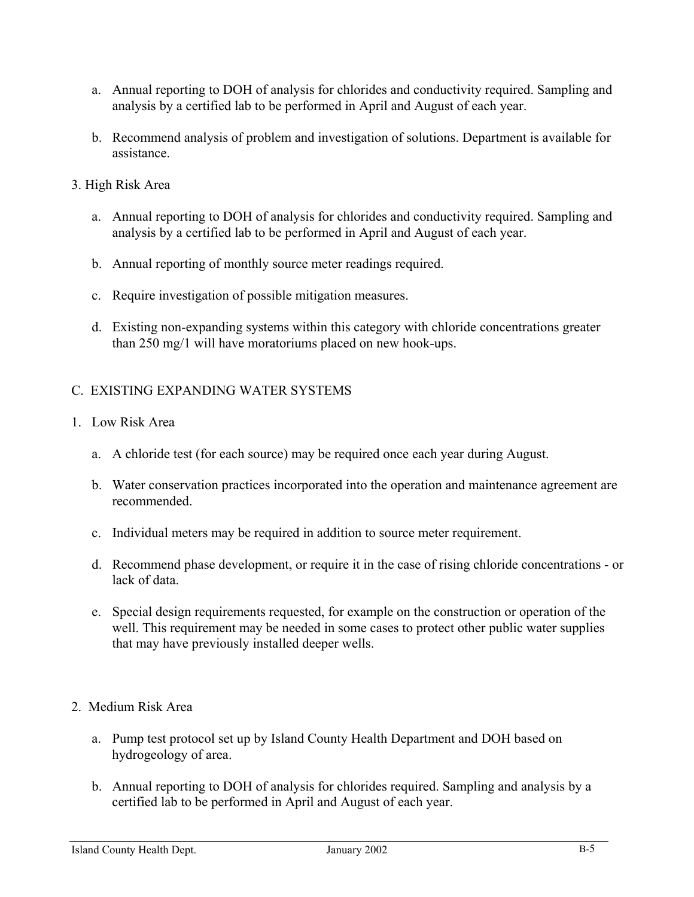- a. Annual reporting to DOH of analysis for chlorides and conductivity required. Sampling and analysis by a certified lab to be performed in April and August of each year.
- b. Recommend analysis of problem and investigation of solutions. Department is available for assistance.
- 3. High Risk Area
	- a. Annual reporting to DOH of analysis for chlorides and conductivity required. Sampling and analysis by a certified lab to be performed in April and August of each year.
	- b. Annual reporting of monthly source meter readings required.
	- c. Require investigation of possible mitigation measures.
	- d. Existing non-expanding systems within this category with chloride concentrations greater than 250 mg/1 will have moratoriums placed on new hook-ups.

## C. EXISTING EXPANDING WATER SYSTEMS

- 1. Low Risk Area
	- a. A chloride test (for each source) may be required once each year during August.
	- b. Water conservation practices incorporated into the operation and maintenance agreement are recommended.
	- c. Individual meters may be required in addition to source meter requirement.
	- d. Recommend phase development, or require it in the case of rising chloride concentrations or lack of data.
	- e. Special design requirements requested, for example on the construction or operation of the well. This requirement may be needed in some cases to protect other public water supplies that may have previously installed deeper wells.
- 2. Medium Risk Area
	- a. Pump test protocol set up by Island County Health Department and DOH based on hydrogeology of area.
	- b. Annual reporting to DOH of analysis for chlorides required. Sampling and analysis by a certified lab to be performed in April and August of each year.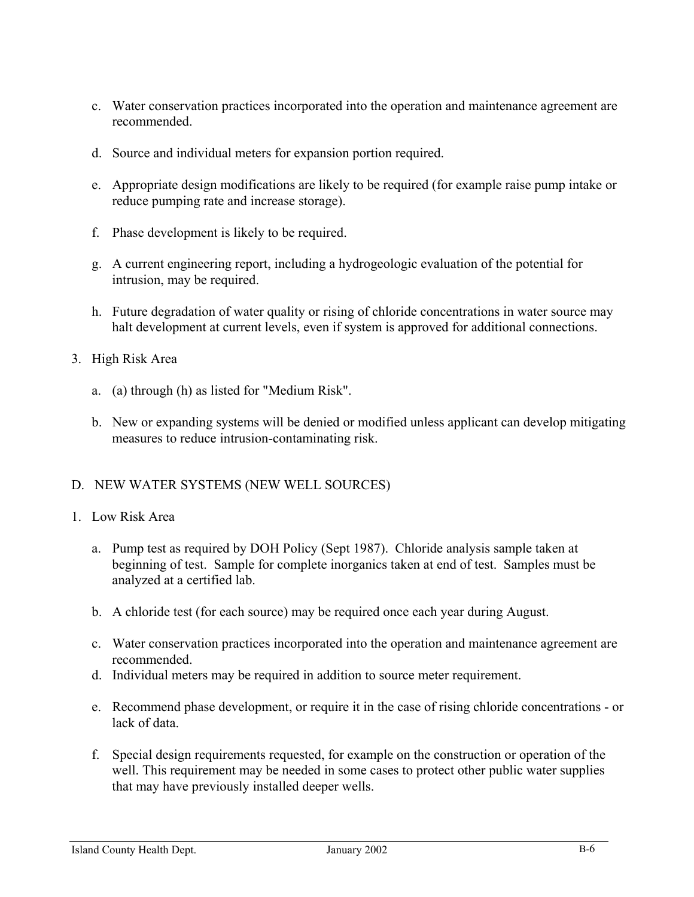- c. Water conservation practices incorporated into the operation and maintenance agreement are recommended.
- d. Source and individual meters for expansion portion required.
- e. Appropriate design modifications are likely to be required (for example raise pump intake or reduce pumping rate and increase storage).
- f. Phase development is likely to be required.
- g. A current engineering report, including a hydrogeologic evaluation of the potential for intrusion, may be required.
- h. Future degradation of water quality or rising of chloride concentrations in water source may halt development at current levels, even if system is approved for additional connections.
- 3. High Risk Area
	- a. (a) through (h) as listed for "Medium Risk".
	- b. New or expanding systems will be denied or modified unless applicant can develop mitigating measures to reduce intrusion-contaminating risk.

## D. NEW WATER SYSTEMS (NEW WELL SOURCES)

- 1. Low Risk Area
	- a. Pump test as required by DOH Policy (Sept 1987). Chloride analysis sample taken at beginning of test. Sample for complete inorganics taken at end of test. Samples must be analyzed at a certified lab.
	- b. A chloride test (for each source) may be required once each year during August.
	- c. Water conservation practices incorporated into the operation and maintenance agreement are recommended.
	- d. Individual meters may be required in addition to source meter requirement.
	- e. Recommend phase development, or require it in the case of rising chloride concentrations or lack of data.
	- f. Special design requirements requested, for example on the construction or operation of the well. This requirement may be needed in some cases to protect other public water supplies that may have previously installed deeper wells.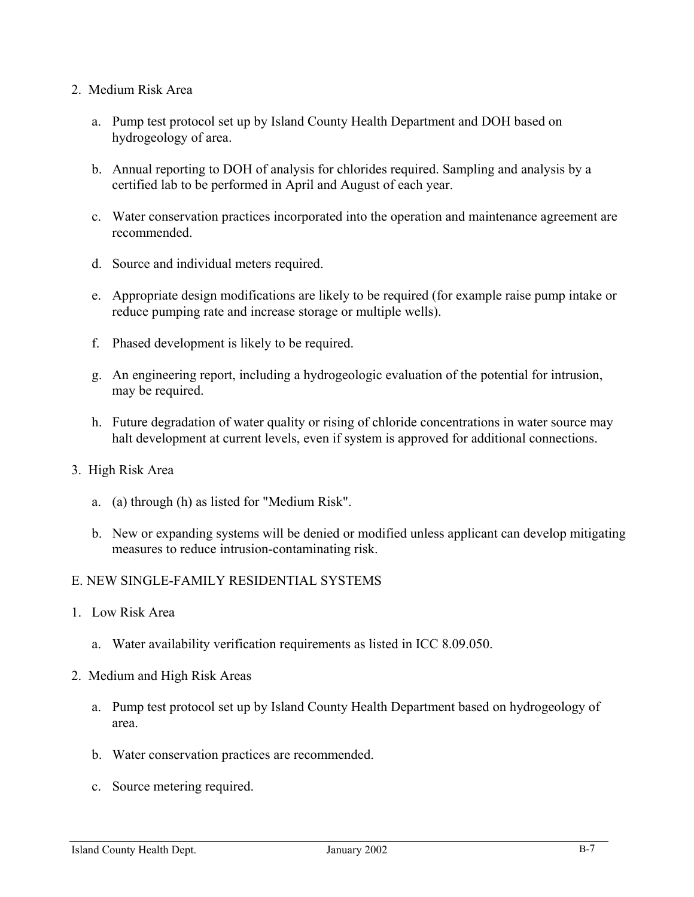#### 2. Medium Risk Area

- a. Pump test protocol set up by Island County Health Department and DOH based on hydrogeology of area.
- b. Annual reporting to DOH of analysis for chlorides required. Sampling and analysis by a certified lab to be performed in April and August of each year.
- c. Water conservation practices incorporated into the operation and maintenance agreement are recommended.
- d. Source and individual meters required.
- e. Appropriate design modifications are likely to be required (for example raise pump intake or reduce pumping rate and increase storage or multiple wells).
- f. Phased development is likely to be required.
- g. An engineering report, including a hydrogeologic evaluation of the potential for intrusion, may be required.
- h. Future degradation of water quality or rising of chloride concentrations in water source may halt development at current levels, even if system is approved for additional connections.
- 3. High Risk Area
	- a. (a) through (h) as listed for "Medium Risk".
	- b. New or expanding systems will be denied or modified unless applicant can develop mitigating measures to reduce intrusion-contaminating risk.

#### E. NEW SINGLE-FAMILY RESIDENTIAL SYSTEMS

- 1. Low Risk Area
	- a. Water availability verification requirements as listed in ICC 8.09.050.
- 2. Medium and High Risk Areas
	- a. Pump test protocol set up by Island County Health Department based on hydrogeology of area.
	- b. Water conservation practices are recommended.
	- c. Source metering required.